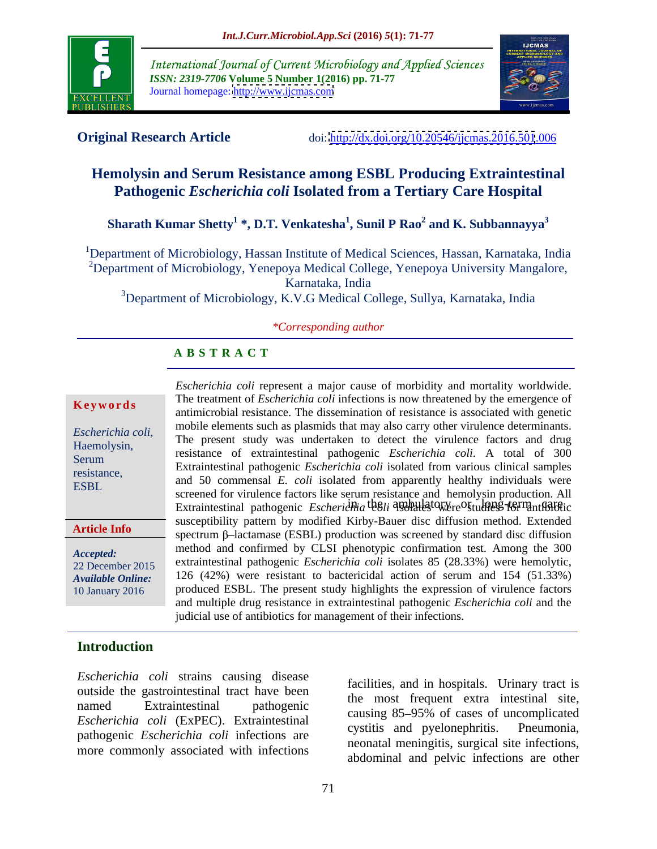

International Journal of Current Microbiology and Applied Sciences *ISSN: 2319-7706* **Volume 5 Number 1(2016) pp. 71-77** Journal homepage: <http://www.ijcmas.com>



**Original Research Article** doi:<http://dx.doi.org/10.20546/ijcmas.2016.501>.006

# **Hemolysin and Serum Resistance among ESBL Producing Extraintestinal Pathogenic** *Escherichia coli* **Isolated from a Tertiary Care Hospital**

 $\boldsymbol{\mathrm{S}}$ harath Kumar Shetty $^{1}$  \*, D.T. Venkatesha $^{1}$ , Sunil P Rao $^{2}$  and K. Subbannayya $^{3}$  **and K. Subbannayya<sup>3</sup>**

<sup>1</sup>Department of Microbiology, Hassan Institute of Medical Sciences, Hassan, Karnataka, India <sup>2</sup>Department of Microbiology, Yenepoya Medical College, Yenepoya University Mangalore, Karnataka, India <sup>3</sup>Department of Microbiology, K.V.G Medical College, Sullya, Karnataka, India

### *\*Corresponding author*

# **A B S T R A C T**

**Article Info**

Extraintestinal pathogenic *Escherichia colinia computatory or studies for mathologic Escherichia coli* represent a major cause of morbidity and mortality worldwide. The treatment of *Escherichia coli* infections is now threatened by the emergence of **Keywords** The dealing of *Escherichia con* infections is now direaded by the emergence of antimicrobial resistance. The dissemination of resistance is associated with genetic mobile elements such as plasmids that may also carry other virulence determinants. *Escherichia coli*,<br>
The present study was undertaken to detect the virulence factors and drug<br> *Haemolysin*, *Haemolysin*, *Haemolysin*, *Escherical*, *Andreasing*, *Andreasing*, *Andreasing*, *Andreasing*, *Andreasing*, resistance of extraintestinal pathogenic *Escherichia coli*. A total of 300 Extraintestinal pathogenic *Escherichia coli* isolated from various clinical samples Serum resistance,<br>
and 50 commensal *E. coli* isolated from apparently healthy individuals were ESBL<br>
screened for virulence factors like serum resistance and hemolysin production. All susceptibility pattern by modified Kirby-Bauer disc diffusion method. Extended spectrum  $\beta$ -lactamase (ESBL) production was screened by standard disc diffusion Accepted: method and confirmed by CLSI phenotypic confirmation test. Among the 300 extraintestinal pathogenic *Escherichia coli* isolates 85 (28.33%) were hemolytic, 22 December 2015 126 (42%) were resistant to bactericidal action of serum and 154 (51.33%) *Available Online:* 10 January 2016 Produced ESBL. The present study highlights the expression of virulence factors and multiple drug resistance in extraintestinal pathogenic *Escherichia coli* and the judicial use of antibiotics for management of their infections.

## **Introduction**

*Escherichia coli* strains causing disease outside the gastrointestinal tract have been *Escherichia coli* (ExPEC). Extraintestinal constant contract causing 65 55% of cases of all completed contract contract contract contract contract contract contract contract contract contract contract contract contract co pathogenic *Escherichia coli* infections are more commonly associated with infections

named Extraintestinal pathogenic the most request extra mesunal site, facilities, and in hospitals. Urinary tract is the most frequent extra intestinal site, causing 85–95% of cases of uncomplicated cystitis and pyelonephritis. neonatal meningitis, surgical site infections, abdominal and pelvic infections are other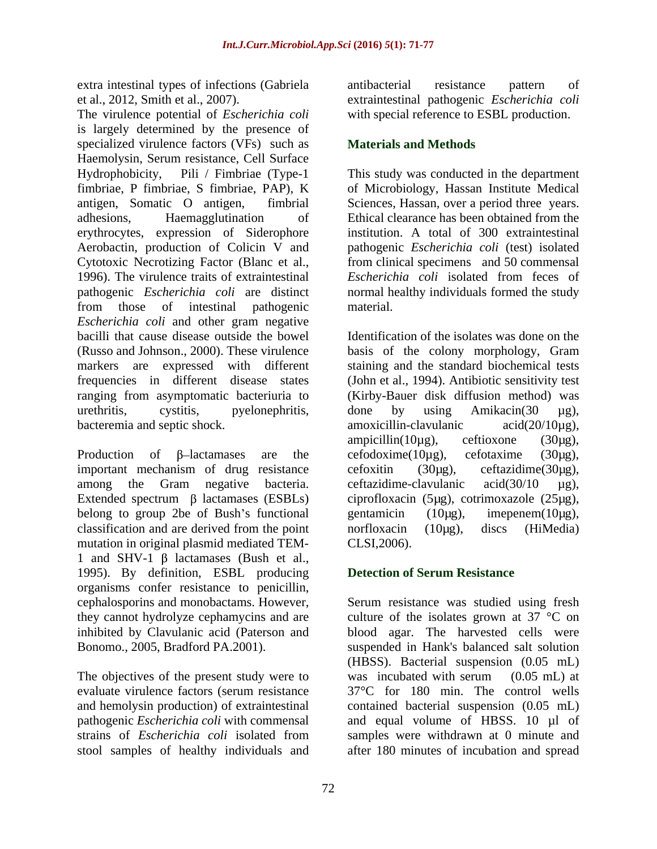extra intestinal types of infections (Gabriela

The virulence potential of *Escherichia coli* is largely determined by the presence of specialized virulence factors (VFs) such as **Materials and Methods** Haemolysin, Serum resistance, Cell Surface Hydrophobicity, Pili / Fimbriae (Type-1 This study was conducted in the department fimbriae, P fimbriae, S fimbriae, PAP), K of Microbiology, Hassan Institute Medical antigen, Somatic O antigen, fimbrial Sciences, Hassan, over a period three years. adhesions, Haemagglutination of Ethical clearance has been obtained from the erythrocytes, expression of Siderophore Aerobactin, production of Colicin V and pathogenic *Escherichia coli* (test) isolated Cytotoxic Necrotizing Factor (Blanc et al., from clinical specimens and 50 commensal 1996). The virulence traits of extraintestinal Escherichia coli isolated from feces of pathogenic *Escherichia coli* are distinct normal healthy individuals formed the study from those of intestinal pathogenic *Escherichia coli* and other gram negative bacilli that cause disease outside the bowel Identification of the isolates was done on the (Russo and Johnson., 2000). These virulence basis of the colony morphology, Gram markers are expressed with different staining and the standard biochemical tests frequencies in different disease states (John et al., 1994). Antibiotic sensitivity test ranging from asymptomatic bacteriuria to (Kirby-Bauer disk diffusion method) was urethritis, cystitis, pyelonephritis, done by using Amikacin(30 µg), bacteremia and septic shock. amoxicillin-clavulanic acid(20/10µg),

important mechanism of drug resistance cefoxitin  $(30\mu g)$ , ceftazidime $(30\mu g)$ , among the Gram negative bacteria. ceftazidime-clavulanic acid(30/10 µg), Extended spectrum  $\beta$  lactamases (ESBLs) ciprofloxacin (5µg), cotrimoxazole (25µg), belong to group 2be of Bush's functional gentamic in  $(10\mu g)$ , imepenem $(10\mu g)$ , classification and are derived from the point norfloxacin (10µg), discs (HiMedia) mutation in original plasmid mediated TEM-<br>CLSI,2006). 1 and SHV-1  $\beta$  lactamases (Bush et al., 1995). By definition, ESBL producing organisms confer resistance to penicillin,

The objectives of the present study were to was incubated with serum (0.05 mL) at evaluate virulence factors (serum resistance

et al., 2012, Smith et al., 2007). extraintestinal pathogenic *Escherichia coli* antibacterial resistance pattern of with special reference to ESBL production.

# **Materials and Methods**

institution. A total of 300 extraintestinal *Escherichia coli* isolated from feces of

Production of  $\beta$ -lactamases are the cefodoxime(10 $\mu$ g), cefotaxime (30 $\mu$ g), material.<br>Identification of the isolates was done on the basis of the colony morphology, Gram done by using Amikacin(30 µg), amoxicillin-clavulanic acid(20/10µg), ampicillin(10µg), ceftioxone (30µg), cefodoxime(10µg), cefotaxime (30µg), cefoxitin (30µg), ceftazidime(30µg),<br>ceftazidime-clavulanic acid(30/10 µg), gentamicin (10µg), imepenem(10µg), norfloxacin (10µg), discs (HiMedia) CLSI,2006).

# **Detection of Serum Resistance**

cephalosporins and monobactams. However, Serum resistance was studied using fresh they cannot hydrolyze cephamycins and are culture of the isolates grown at 37 °C on inhibited by Clavulanic acid (Paterson and blood agar. The harvested cells were Bonomo., 2005, Bradford PA.2001). suspended in Hank's balanced salt solution and hemolysin production) of extraintestinal contained bacterial suspension (0.05 mL) pathogenic *Escherichia coli* with commensal and equal volume of HBSS. 10 µl of strains of *Escherichia coli* isolated from samples were withdrawn at 0 minute and stool samples of healthy individuals and after 180 minutes of incubation and spread(HBSS). Bacterial suspension (0.05 mL) was incubated with serum (0.05 mL) at 37°C for 180 min. The control wells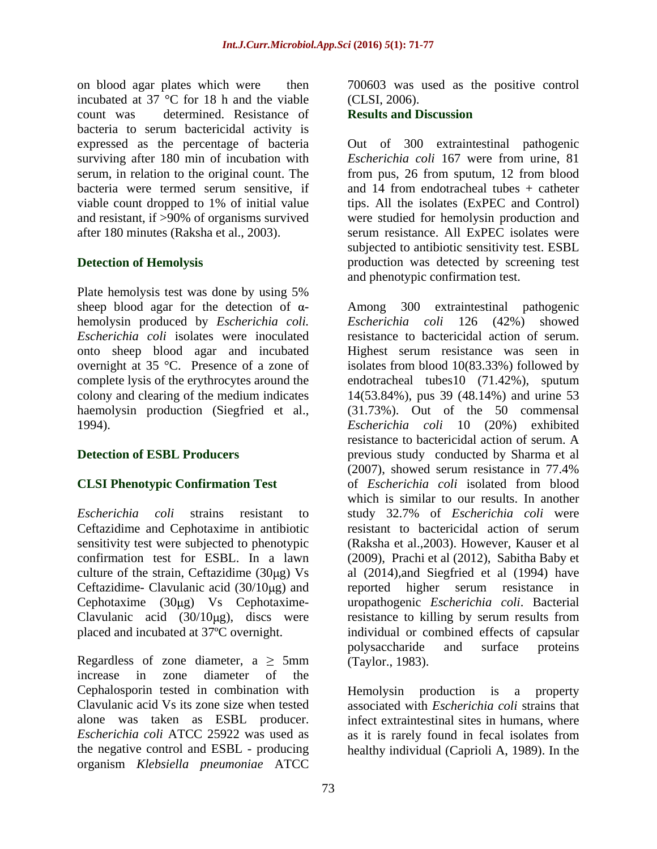on blood agar plates which were then 700603 was used as the positive control incubated at 37 °C for 18 h and the viable (CLSI, 2006). count was determined. Resistance of **Results and Discussion** bacteria to serum bactericidal activity is expressed as the percentage of bacteria surviving after 180 min of incubation with viable count dropped to 1% of initial value and resistant, if >90% of organisms survived

Plate hemolysis test was done by using 5% sheep blood agar for the detection of  $\alpha$ - Among hemolysin produced by *Escherichia coli. Escherichia coli* isolates were inoculated onto sheep blood agar and incubated haemolysin production (Siegfried et al.,

Ceftazidime and Cephotaxime in antibiotic Ceftazidime- Clavulanic acid  $(30/10\mu g)$  and reported higher serum resistance in Clavulanic acid  $(30/10 \mu g)$ , discs were

Regardless of zone diameter,  $a \ge 5$ mm increase in zone diameter of the alone was taken as ESBL producer. the negative control and ESBL - producing healthy individual (Caprioli A, 1989). In theorganism *Klebsiella pneumoniae* ATCC

(CLSI, 2006).

### **Results and Discussion**

serum, in relation to the original count. The from pus, 26 from sputum, 12 from blood bacteria were termed serum sensitive, if and 14 from endotracheal tubes + catheter after 180 minutes (Raksha et al., 2003). serum resistance. All ExPEC isolates were **Detection of Hemolysis production** was detected by screening test Out of 300 extraintestinal pathogenic *Escherichia coli* 167 were from urine, 81 tips. All the isolates (ExPEC and Control) were studied for hemolysin production and subjected to antibiotic sensitivity test. ESBL and phenotypic confirmation test.

overnight at 35 °C. Presence of a zone of isolates from blood 10(83.33%) followed by complete lysis of the erythrocytes around the endotracheal tubes10 (71.42%), sputum colony and clearing of the medium indicates 14(53.84%), pus 39 (48.14%) and urine 53 1994). *Escherichia coli* 10 (20%) exhibited **Detection of ESBL Producers previous study conducted by Sharma et al CLSI Phenotypic Confirmation Test** of *Escherichia coli* isolated from blood *Escherichia coli* strains resistant to study 32.7% of *Escherichia coli* were sensitivity test were subjected to phenotypic (Raksha et al.,2003). However, Kauser et al confirmation test for ESBL. In a lawn (2009), Prachi et al (2012), Sabitha Baby et culture of the strain, Ceftazidime  $(30\mu g)$  Vs al  $(2014)$ , and Siegfried et al  $(1994)$  have Cephotaxime (30μg) Vs Cephotaxime- uropathogenic *Escherichia coli*. Bacterial placed and incubated at 37ºC overnight. individual or combined effects of capsular 300 extraintestinal pathogenic *Escherichia coli* 126 (42%) showed resistance to bactericidal action of serum. Highest serum resistance was seen in (31.73%). Out of the 50 commensal resistance to bactericidal action of serum. A (2007), showed serum resistance in 77.4% which is similar to our results. In another resistant to bactericidal action of serum reported higher serum resistance in resistance to killing by serum results from polysaccharide and surface proteins (Taylor., 1983).

Cephalosporin tested in combination with Hemolysin production is a property Clavulanic acid Vs its zone size when tested associated with *Escherichia coli* strains that *Escherichia coli* ATCC 25922 was used as as it is rarely found in fecal isolates from infect extraintestinal sites in humans, where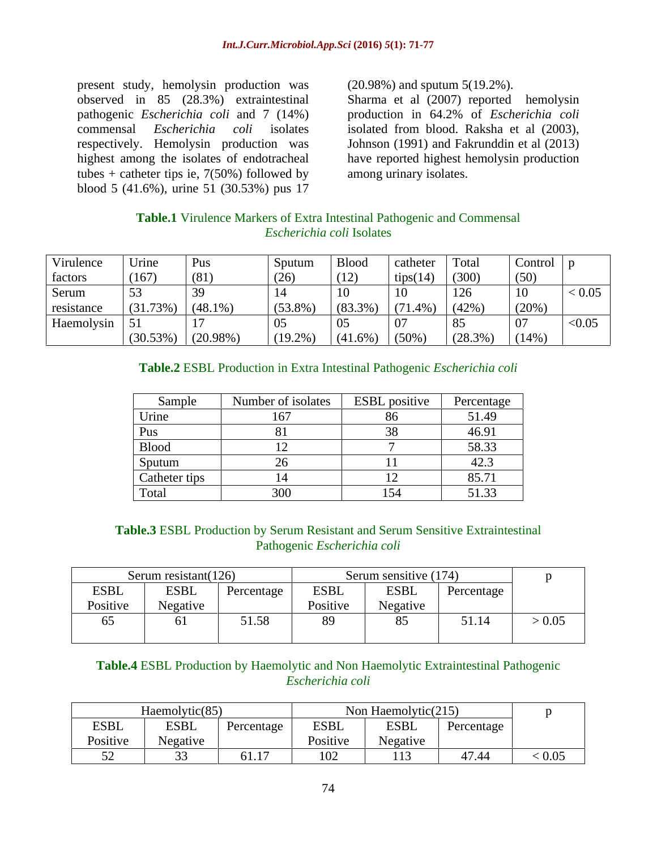present study, hemolysin production was (20.98%) and sputum 5(19.2%). tubes + catheter tips ie,  $7(50%)$  followed by blood 5 (41.6%), urine 51 (30.53%) pus 17

(20.98%) and sputum 5(19.2%).

observed in 85 (28.3%) extraintestinal Sharma et al (2007) reported hemolysin pathogenic *Escherichia coli* and 7 (14%) production in 64.2% of *Escherichia coli* commensal *Escherichia coli* isolates isolated from blood. Raksha et al (2003), respectively. Hemolysin production was Johnson (1991) and Fakrunddin et al (2013) highest among the isolates of endotracheal have reported highest hemolysin production among urinary isolates.

# **Table.1** Virulence Markers of Extra Intestinal Pathogenic and Commensal *Escherichia coli* Isolates

| Virulence     | Urine    | Pus         | Sputum     | Blood     | catheter | Total         | $\lfloor$ Control $\rfloor$ p |        |
|---------------|----------|-------------|------------|-----------|----------|---------------|-------------------------------|--------|
| factors       | (167)    | (81)        | (26)       | (12)      | tips(14) | (300)         | (50)                          |        |
| Serum         |          |             |            |           |          | 126<br>⊥∠∪    | 10                            | < 0.05 |
| resistance    | (31.73%) | $(48.1\%)$  | $(53.8\%)$ | $(83.3\%$ | 71.4%)   | (42%          | (20%)                         |        |
| Haemolysin 51 |          |             |            |           |          | $Q \subseteq$ |                               | < 0.05 |
|               | (30.53%) | $(20.98\%)$ | (19.2%     | (41.6%    | $(50\%$  | $(28.3\%)$    | $(14\%)$                      |        |

# **Table.2** ESBL Production in Extra Intestinal Pathogenic *Escherichia coli*

| Sample        | Number of isolates | <b>ESBL</b> positive | Percentage    |
|---------------|--------------------|----------------------|---------------|
| Urine         | 1/7<br>101         |                      | 51.49         |
| Pus           |                    |                      | 46.91         |
| <b>Blood</b>  |                    |                      | 58.33         |
| Sputum        |                    |                      | $\sim$ $\sim$ |
| Catheter tips |                    |                      | 85.71         |
| Total         | 300                | 151                  | 51.33         |

## **Table.3** ESBL Production by Serum Resistant and Serum Sensitive Extraintestinal Pathogenic *Escherichia coli*

|             | Serum resistant $(126)$ |            | Serum sensitive (174) |                          |            |        |
|-------------|-------------------------|------------|-----------------------|--------------------------|------------|--------|
| <b>ESBL</b> | <b>ESBI</b>             | Percentage | <b>ESBL</b>           | <b>ESBL</b>              | Percentage |        |
| Positive    | Negative                |            | Positive              | $\mathbf{X}$<br>Negative |            |        |
| O.          |                         | 51.58      | $\sim$ .              |                          | 51.14      | > 0.05 |
|             |                         |            |                       |                          |            |        |

## **Table.4** ESBL Production by Haemolytic and Non Haemolytic Extraintestinal Pathogenic *Escherichia coli*

|             | Haemolytic(85)                     |                 | Von Haemolytic $(215)$                    |                          |            |        |
|-------------|------------------------------------|-----------------|-------------------------------------------|--------------------------|------------|--------|
| <b>ESBL</b> | <b>ESBL</b>                        | Percentage      | <b>ESBL</b>                               | <b>ESBL</b>              | Percentage |        |
| Positive    | $N$ egative<br>$\ddot{\mathbf{u}}$ |                 | Positive                                  | $\mathbf{r}$<br>Negative |            |        |
|             |                                    | --- --<br>01.17 | $\sim$ $\sim$ $\sim$<br>1 I Y Z<br>$\sim$ | 113                      | 47.44      | < 0.05 |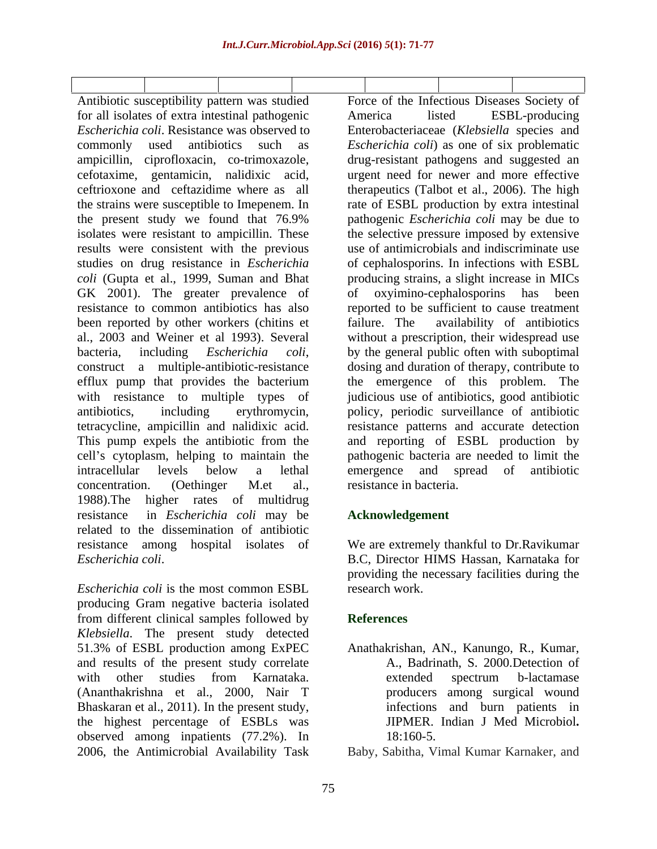Antibiotic susceptibility pattern was studied Force of the Infectious Diseases Society of for all isolates of extra intestinal pathogenic<br> *Escherichia coli*. Resistance was observed to Enterobacteriaceae (*Klebsiella* species and *Escherichia coli*. Resistance was observed to Enterobacteriaceae (*Klebsiella* species and commonly used antibiotics such as *Escherichia coli*) as one of six problematic ampicillin, ciprofloxacin, co-trimoxazole, drug-resistant pathogens and suggested an cefotaxime, gentamicin, nalidixic acid, urgent need for newer and more effective ceftrioxone and ceftazidime where as all therapeutics (Talbot et al., 2006). The high the strains were susceptible to Imepenem. In rate of ESBL production by extra intestinal the present study we found that 76.9% pathogenic *Escherichia coli* may be due to isolates were resistant to ampicillin. These the selective pressure imposed by extensive results were consistent with the previous use of antimicrobials and indiscriminate use studies on drug resistance in *Escherichia coli* (Gupta et al., 1999, Suman and Bhat producing strains, a slight increase in MICs GK 2001). The greater prevalence of or oxyimino-cephalosporins has been resistance to common antibiotics has also been reported by other workers (chitins et failure. The availability of antibiotics al., 2003 and Weiner et al 1993). Several without a prescription, their widespread use bacteria, including *Escherichia coli*, by the general public often with suboptimal construct a multiple-antibiotic-resistance dosing and duration of therapy, contribute to efflux pump that provides the bacterium the emergence of this problem. The with resistance to multiple types of judicious use of antibiotics, good antibiotic antibiotics, including erythromycin, policy, periodic surveillance of antibiotic tetracycline, ampicillin and nalidixic acid. resistance patterns and accurate detection This pump expels the antibiotic from the and reporting of ESBL production by cell's cytoplasm, helping to maintain the pathogenic bacteria are needed to limit the intracellular levels below a lethal concentration. (Oethinger M.et al., 1988).The higher rates of multidrug resistance in *Escherichia coli* may be related to the dissemination of antibiotic resistance among hospital isolates of We are extremely thankful to Dr.Ravikumar *Escherichia coli*.

*Escherichia coli* is the most common ESBL producing Gram negative bacteria isolated from different clinical samples followed by *Klebsiella*. The present study detected 51.3% of ESBL production among ExPEC and results of the present study correlate with other studies from Karnataka. (Ananthakrishna et al., 2000, Nair T Bhaskaran et al., 2011). In the present study, the highest percentage of ESBLs was observed among inpatients (77.2%). In observed among inpatients (77.2%). In 18:160-5.<br>2006, the Antimicrobial Availability Task Baby, Sabitha, Vimal Kumar Karnaker, and

America listed ESBL-producing pathogenic *Escherichia coli* may be due to of cephalosporins. In infections with ESBL of oxyimino-cephalosporins has been reported to be sufficient to cause treatment failure. The availability of antibiotics by the general public often with suboptimal dosing and duration of therapy, contribute to emergence and spread of antibiotic resistance in bacteria.

# **Acknowledgement**

B.C, Director HIMS Hassan, Karnataka for providing the necessary facilities during the research work.

# **References**

Anathakrishan, AN., Kanungo, R., Kumar, A., Badrinath, S. 2000.Detection of extended spectrum b-lactamase producers among surgical wound infections and burn patients in JIPMER. Indian J Med Microbiol**.**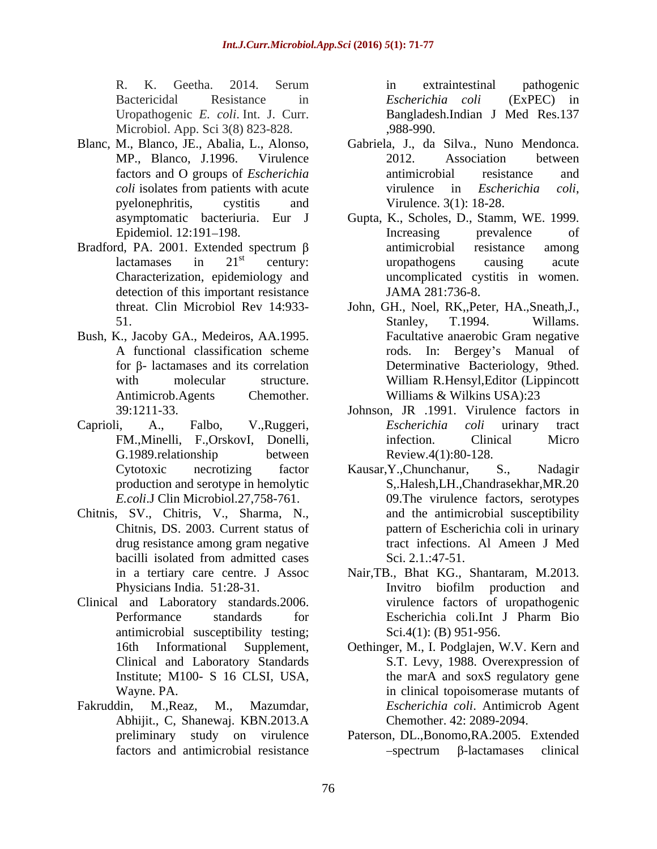Microbiol. App. Sci 3(8) 823-828.

- 
- Bradford, PA. 2001. Extended spectrum  $\beta$  antimicrobial resistance among detection of this important resistance JAMA 281:736-8. detection of this important resistance JAMA 281:736-8.<br>
Iohn, GH., Noel, RK,,Peter, HA.,Sneath,J.,
- Bush, K., Jacoby GA., Medeiros, AA.1995. Facultative anaerobic Gram negative
- 
- Chitnis, SV., Chitris, V., Sharma, N., Chitnis, DS. 2003. Current status of
- antimicrobial susceptibility testing;
- Abhijit., C, Shanewaj. KBN.2013.A

R. K. Geetha. 2014. Serum in extraintestinal pathogenic Bactericidal Resistance in *Escherichia coli* (ExPEC) in Uropathogenic *E. coli*. Int. J. Curr. Bangladesh.Indian J Med Res.137 in extraintestinal pathogenic *Escherichia coli* (ExPEC) in ,988-990.

- Blanc, M., Blanco, JE., Abalia, L., Alonso, Gabriela, J., da Silva., Nuno Mendonca. MP., Blanco, J.1996. Virulence factors and O groups of *Escherichia coli* isolates from patients with acute *coli* virulence in *Escherichia coli*, pyelonephritis, cystitis and Virulence. 3(1): 18-28. 2012. Association between antimicrobial resistance and virulence in *Escherichia coli*, Virulence. 3(1): 18-28.
	- asymptomatic bacteriuria. Eur J Gupta, K., Scholes, D.,Stamm, WE. 1999. Epidemiol. 12:191–198. Thereasing prevalence of lactamases in  $21^{st}$  century: uropathogens causing acute st century: uropathogens causing acute Characterization, epidemiology and uncomplicated cystitis in women. Increasing prevalence of antimicrobial resistance among uropathogens causing acute
	- 51. Stanley, T.1994. Willams. A functional classification scheme  $\qquad \qquad$  rods. In: Bergey's Manual of for  $\beta$ - lactamases and its correlation Determinative Bacteriology, 9thed. with molecular structure. William R.Hensyl, Editor (Lippincott Antimicrob.Agents Chemother. Williams & Wilkins USA):23 Stanley, T.1994. Willams. Facultative anaerobic Gram negative William R.Hensyl,Editor (Lippincott
- 39:1211-33. Johnson, JR .1991. Virulence factors in Caprioli, A., Falbo, V.,Ruggeri, *Escherichia coli* urinary tract FM.,Minelli, F.,OrskovI, Donelli, G.1989. relationship between Review.4(1):80-128. *Escherichia coli* urinary tract infection. Clinical Micro Review.4(1):80-128.
	- Cytotoxic necrotizing factor Kausar, Y., Chunchanur, S., Nadagir production and serotype in hemolytic S,.Halesh,LH.,Chandrasekhar,MR.20 *E.coli*.J Clin Microbiol.27,758-761. 09.The virulence factors, serotypes drug resistance among gram negative tract infections. Al Ameen J Med bacilli isolated from admitted cases Sci. 2.1.:47-51. Kausar,Y.,Chunchanur, S., Nadagir and the antimicrobial susceptibility pattern of Escherichia coli in urinary tract infections. Al Ameen J Med Sci. 2.1.:47-51.
- in a tertiary care centre. J Assoc Nair,TB., Bhat KG., Shantaram, M.2013. Physicians India. 51:28-31. Invitro biofilm production and<br>Clinical and Laboratory standards.2006. Invitro standards in the state of uropathogenic Performance standards for Escherichia coli. Int J Pharm Bio Invitro biofilm production and virulence factors of uropathogenic Escherichia coli.Int J Pharm Bio Sci.4(1): (B) 951-956.
- 16th Informational Supplement, Oethinger, M., I. Podglajen, W.V. Kern and Clinical and Laboratory Standards S.T. Levy, 1988. Overexpression of Institute; M100- S 16 CLSI, USA, the marA and soxS regulatory gene Wayne. PA. **in clinical topoisomerase mutants of** Fakruddin, M.,Reaz, M., Mazumdar, *Escherichia coli*. Antimicrob Agent Chemother. 42: 2089-2094.
	- preliminary study on virulence Paterson, DL.,Bonomo,RA.2005. Extended factors and antimicrobial resistance  $spectrum$   $\beta$ -lactamases clinical